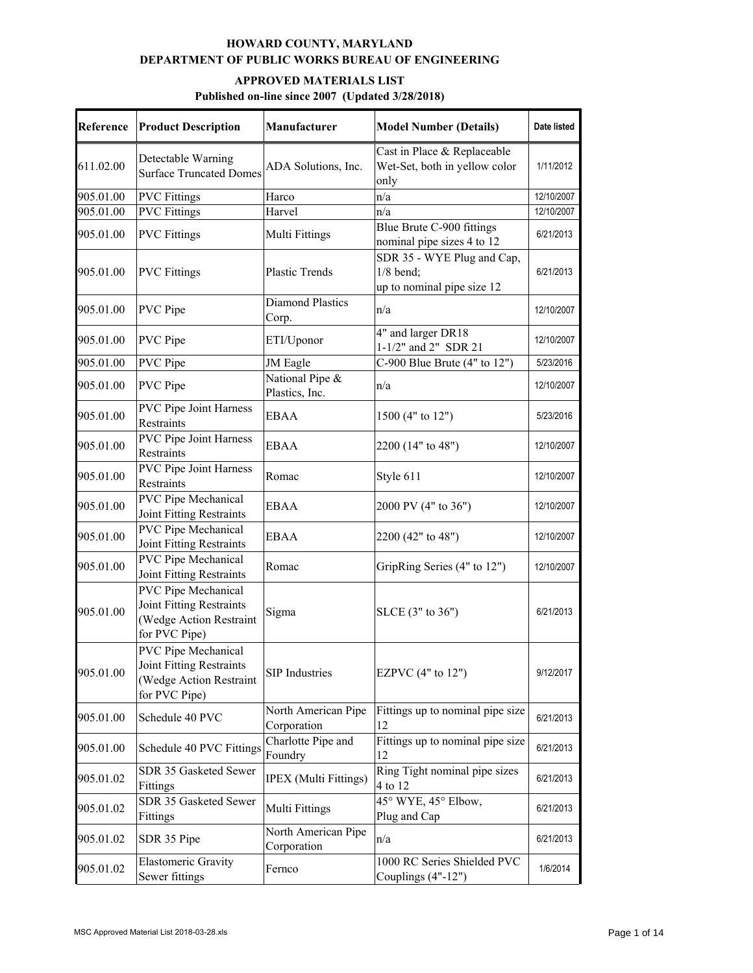| Reference | <b>Product Description</b>                                                                  | Manufacturer                       | <b>Model Number (Details)</b>                                           | Date listed |
|-----------|---------------------------------------------------------------------------------------------|------------------------------------|-------------------------------------------------------------------------|-------------|
| 611.02.00 | Detectable Warning<br><b>Surface Truncated Domes</b>                                        | ADA Solutions, Inc.                | Cast in Place & Replaceable<br>Wet-Set, both in yellow color<br>only    | 1/11/2012   |
| 905.01.00 | <b>PVC</b> Fittings                                                                         | Harco                              | n/a                                                                     | 12/10/2007  |
| 905.01.00 | <b>PVC</b> Fittings                                                                         | Harvel                             | n/a                                                                     | 12/10/2007  |
| 905.01.00 | <b>PVC</b> Fittings                                                                         | Multi Fittings                     | Blue Brute C-900 fittings<br>nominal pipe sizes 4 to 12                 | 6/21/2013   |
| 905.01.00 | <b>PVC</b> Fittings                                                                         | <b>Plastic Trends</b>              | SDR 35 - WYE Plug and Cap,<br>$1/8$ bend;<br>up to nominal pipe size 12 | 6/21/2013   |
| 905.01.00 | PVC Pipe                                                                                    | Diamond Plastics<br>Corp.          | n/a                                                                     | 12/10/2007  |
| 905.01.00 | PVC Pipe                                                                                    | ETI/Uponor                         | 4" and larger DR18<br>1-1/2" and 2" SDR 21                              | 12/10/2007  |
| 905.01.00 | PVC Pipe                                                                                    | JM Eagle                           | C-900 Blue Brute $(4"$ to $12")$                                        | 5/23/2016   |
| 905.01.00 | PVC Pipe                                                                                    | National Pipe &<br>Plastics, Inc.  | n/a                                                                     | 12/10/2007  |
| 905.01.00 | <b>PVC Pipe Joint Harness</b><br>Restraints                                                 | <b>EBAA</b>                        | 1500 (4" to 12")                                                        | 5/23/2016   |
| 905.01.00 | <b>PVC Pipe Joint Harness</b><br>Restraints                                                 | <b>EBAA</b>                        | 2200 (14" to 48")                                                       | 12/10/2007  |
| 905.01.00 | <b>PVC Pipe Joint Harness</b><br>Restraints                                                 | Romac                              | Style 611                                                               | 12/10/2007  |
| 905.01.00 | PVC Pipe Mechanical<br>Joint Fitting Restraints                                             | <b>EBAA</b>                        | 2000 PV (4" to 36")                                                     | 12/10/2007  |
| 905.01.00 | PVC Pipe Mechanical<br>Joint Fitting Restraints                                             | <b>EBAA</b>                        | 2200 (42" to 48")                                                       | 12/10/2007  |
| 905.01.00 | PVC Pipe Mechanical<br>Joint Fitting Restraints                                             | Romac                              | GripRing Series (4" to 12")                                             | 12/10/2007  |
| 905.01.00 | PVC Pipe Mechanical<br>Joint Fitting Restraints<br>(Wedge Action Restraint<br>for PVC Pipe) | Sigma                              | $SLCE$ (3" to 36")                                                      | 6/21/2013   |
| 905.01.00 | PVC Pipe Mechanical<br>Joint Fitting Restraints<br>(Wedge Action Restraint<br>for PVC Pipe) | <b>SIP</b> Industries              | EZPVC (4" to 12")                                                       | 9/12/2017   |
| 905.01.00 | Schedule 40 PVC                                                                             | North American Pipe<br>Corporation | Fittings up to nominal pipe size<br>12                                  | 6/21/2013   |
| 905.01.00 | Schedule 40 PVC Fittings                                                                    | Charlotte Pipe and<br>Foundry      | Fittings up to nominal pipe size<br>12                                  | 6/21/2013   |
| 905.01.02 | SDR 35 Gasketed Sewer<br>Fittings                                                           | <b>IPEX</b> (Multi Fittings)       | Ring Tight nominal pipe sizes<br>4 to 12                                | 6/21/2013   |
| 905.01.02 | SDR 35 Gasketed Sewer<br>Fittings                                                           | Multi Fittings                     | 45° WYE, 45° Elbow,<br>Plug and Cap                                     | 6/21/2013   |
| 905.01.02 | SDR 35 Pipe                                                                                 | North American Pipe<br>Corporation | n/a                                                                     | 6/21/2013   |
| 905.01.02 | <b>Elastomeric Gravity</b><br>Sewer fittings                                                | Fernco                             | 1000 RC Series Shielded PVC<br>Couplings (4"-12")                       | 1/6/2014    |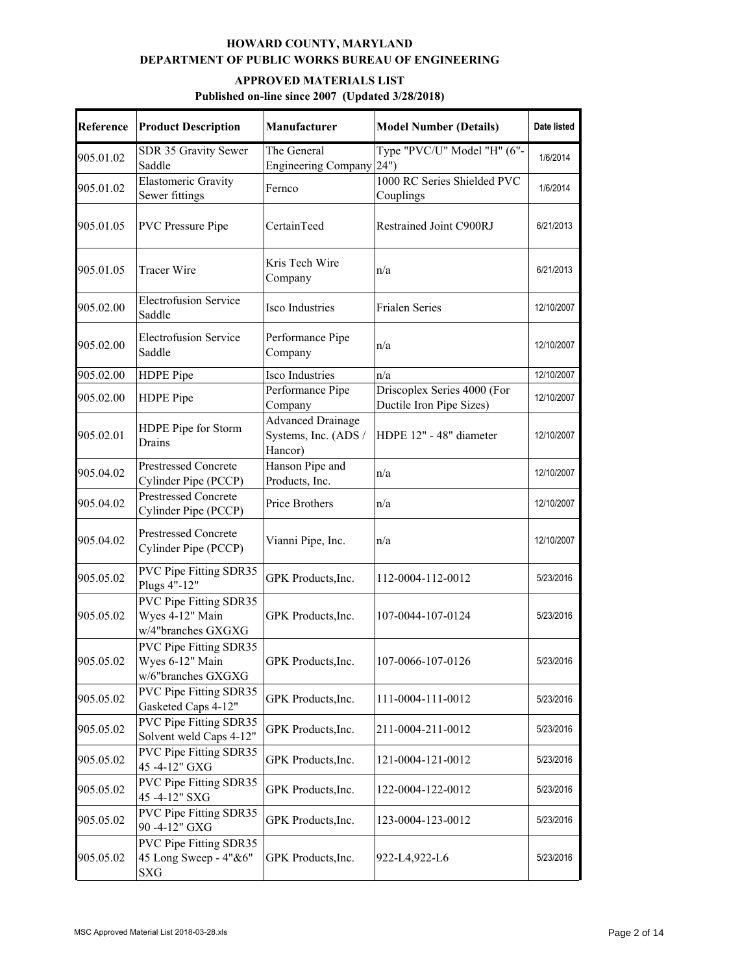| Reference | <b>Product Description</b>                                      | <b>Manufacturer</b>                                         | <b>Model Number (Details)</b>                           | Date listed |
|-----------|-----------------------------------------------------------------|-------------------------------------------------------------|---------------------------------------------------------|-------------|
| 905.01.02 | SDR 35 Gravity Sewer<br>Saddle                                  | The General<br><b>Engineering Company</b>                   | Type "PVC/U" Model "H" (6"-<br>24")                     | 1/6/2014    |
| 905.01.02 | <b>Elastomeric Gravity</b><br>Sewer fittings                    | Fernco                                                      | 1000 RC Series Shielded PVC<br>Couplings                | 1/6/2014    |
| 905.01.05 | <b>PVC</b> Pressure Pipe                                        | CertainTeed                                                 | Restrained Joint C900RJ                                 | 6/21/2013   |
| 905.01.05 | <b>Tracer Wire</b>                                              | Kris Tech Wire<br>Company                                   | n/a                                                     | 6/21/2013   |
| 905.02.00 | <b>Electrofusion Service</b><br>Saddle                          | Isco Industries                                             | Frialen Series                                          | 12/10/2007  |
| 905.02.00 | <b>Electrofusion Service</b><br>Saddle                          | Performance Pipe<br>Company                                 | n/a                                                     | 12/10/2007  |
| 905.02.00 | HDPE Pipe                                                       | <b>Isco Industries</b>                                      | n/a                                                     | 12/10/2007  |
| 905.02.00 | HDPE Pipe                                                       | Performance Pipe<br>Company                                 | Driscoplex Series 4000 (For<br>Ductile Iron Pipe Sizes) | 12/10/2007  |
| 905.02.01 | HDPE Pipe for Storm<br>Drains                                   | <b>Advanced Drainage</b><br>Systems, Inc. (ADS /<br>Hancor) | HDPE 12" - 48" diameter                                 | 12/10/2007  |
| 905.04.02 | <b>Prestressed Concrete</b><br>Cylinder Pipe (PCCP)             | Hanson Pipe and<br>Products, Inc.                           | n/a                                                     | 12/10/2007  |
| 905.04.02 | <b>Prestressed Concrete</b><br>Cylinder Pipe (PCCP)             | Price Brothers                                              | n/a                                                     | 12/10/2007  |
| 905.04.02 | <b>Prestressed Concrete</b><br>Cylinder Pipe (PCCP)             | Vianni Pipe, Inc.                                           | n/a                                                     | 12/10/2007  |
| 905.05.02 | PVC Pipe Fitting SDR35<br>Plugs 4"-12"                          | GPK Products, Inc.                                          | 112-0004-112-0012                                       | 5/23/2016   |
| 905.05.02 | PVC Pipe Fitting SDR35<br>Wyes 4-12" Main<br>w/4"branches GXGXG | GPK Products, Inc.                                          | 107-0044-107-0124                                       | 5/23/2016   |
| 905.05.02 | PVC Pipe Fitting SDR35<br>Wyes 6-12" Main<br>w/6"branches GXGXG | GPK Products, Inc.                                          | 107-0066-107-0126                                       | 5/23/2016   |
| 905.05.02 | PVC Pipe Fitting SDR35<br>Gasketed Caps 4-12"                   | GPK Products, Inc.                                          | 111-0004-111-0012                                       | 5/23/2016   |
| 905.05.02 | PVC Pipe Fitting SDR35<br>Solvent weld Caps 4-12"               | GPK Products, Inc.                                          | 211-0004-211-0012                                       | 5/23/2016   |
| 905.05.02 | PVC Pipe Fitting SDR35<br>45-4-12" GXG                          | GPK Products, Inc.                                          | 121-0004-121-0012                                       | 5/23/2016   |
| 905.05.02 | PVC Pipe Fitting SDR35<br>45-4-12" SXG                          | GPK Products, Inc.                                          | 122-0004-122-0012                                       | 5/23/2016   |
| 905.05.02 | PVC Pipe Fitting SDR35<br>90-4-12" GXG                          | GPK Products, Inc.                                          | 123-0004-123-0012                                       | 5/23/2016   |
| 905.05.02 | PVC Pipe Fitting SDR35<br>45 Long Sweep - 4"&6"<br>SXG          | GPK Products, Inc.                                          | 922-L4,922-L6                                           | 5/23/2016   |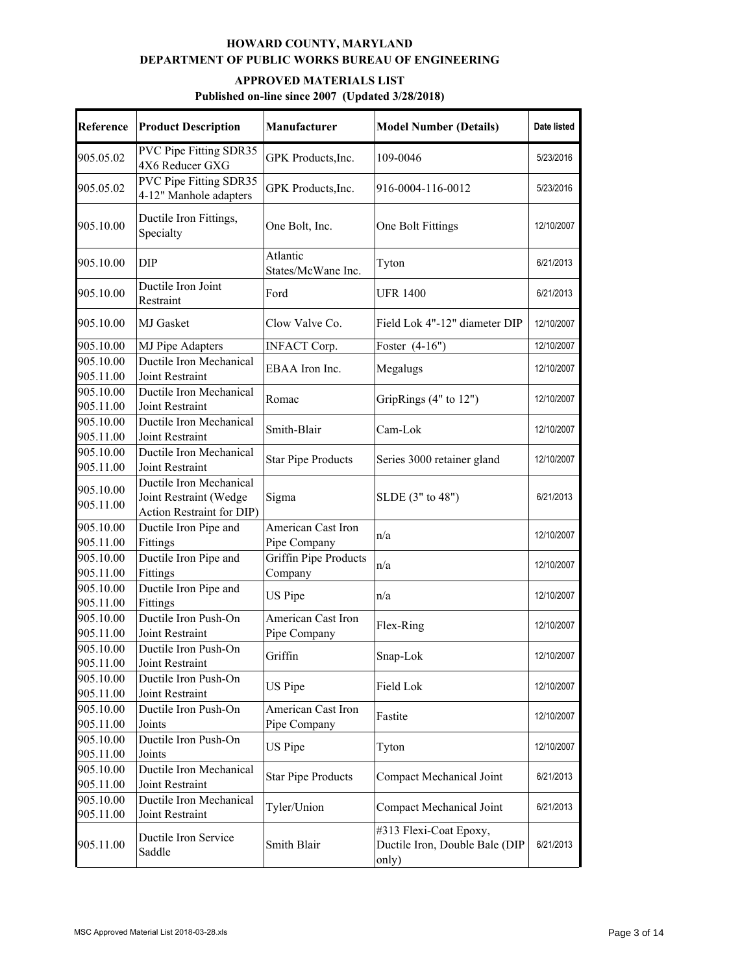| Reference              | <b>Product Description</b>                                                     | Manufacturer                       | <b>Model Number (Details)</b>                                     | Date listed |
|------------------------|--------------------------------------------------------------------------------|------------------------------------|-------------------------------------------------------------------|-------------|
| 905.05.02              | PVC Pipe Fitting SDR35<br>4X6 Reducer GXG                                      | GPK Products, Inc.                 | 109-0046                                                          | 5/23/2016   |
| 905.05.02              | PVC Pipe Fitting SDR35<br>4-12" Manhole adapters                               | GPK Products, Inc.                 | 916-0004-116-0012                                                 | 5/23/2016   |
| 905.10.00              | Ductile Iron Fittings,<br>Specialty                                            | One Bolt, Inc.                     | One Bolt Fittings                                                 | 12/10/2007  |
| 905.10.00              | <b>DIP</b>                                                                     | Atlantic<br>States/McWane Inc.     | Tyton                                                             | 6/21/2013   |
| 905.10.00              | Ductile Iron Joint<br>Restraint                                                | Ford                               | <b>UFR 1400</b>                                                   | 6/21/2013   |
| 905.10.00              | MJ Gasket                                                                      | Clow Valve Co.                     | Field Lok 4"-12" diameter DIP                                     | 12/10/2007  |
| 905.10.00              | <b>MJ</b> Pipe Adapters                                                        | <b>INFACT Corp.</b>                | Foster $(4-16)$                                                   | 12/10/2007  |
| 905.10.00<br>905.11.00 | Ductile Iron Mechanical<br>Joint Restraint                                     | EBAA Iron Inc.                     | Megalugs                                                          | 12/10/2007  |
| 905.10.00<br>905.11.00 | Ductile Iron Mechanical<br>Joint Restraint                                     | Romac                              | GripRings (4" to 12")                                             | 12/10/2007  |
| 905.10.00<br>905.11.00 | Ductile Iron Mechanical<br>Joint Restraint                                     | Smith-Blair                        | Cam-Lok                                                           | 12/10/2007  |
| 905.10.00<br>905.11.00 | Ductile Iron Mechanical<br>Joint Restraint                                     | <b>Star Pipe Products</b>          | Series 3000 retainer gland                                        | 12/10/2007  |
| 905.10.00<br>905.11.00 | Ductile Iron Mechanical<br>Joint Restraint (Wedge<br>Action Restraint for DIP) | Sigma                              | SLDE (3" to 48")                                                  | 6/21/2013   |
| 905.10.00<br>905.11.00 | Ductile Iron Pipe and<br>Fittings                                              | American Cast Iron<br>Pipe Company | n/a                                                               | 12/10/2007  |
| 905.10.00<br>905.11.00 | Ductile Iron Pipe and<br>Fittings                                              | Griffin Pipe Products<br>Company   | n/a                                                               | 12/10/2007  |
| 905.10.00<br>905.11.00 | Ductile Iron Pipe and<br>Fittings                                              | US Pipe                            | n/a                                                               | 12/10/2007  |
| 905.10.00<br>905.11.00 | Ductile Iron Push-On<br>Joint Restraint                                        | American Cast Iron<br>Pipe Company | Flex-Ring                                                         | 12/10/2007  |
| 905.10.00<br>905.11.00 | Ductile Iron Push-On<br>Joint Restraint                                        | Griffin                            | Snap-Lok                                                          | 12/10/2007  |
| 905.10.00<br>905.11.00 | Ductile Iron Push-On<br>Joint Restraint                                        | US Pipe                            | Field Lok                                                         | 12/10/2007  |
| 905.10.00<br>905.11.00 | Ductile Iron Push-On<br>Joints                                                 | American Cast Iron<br>Pipe Company | Fastite                                                           | 12/10/2007  |
| 905.10.00<br>905.11.00 | Ductile Iron Push-On<br>Joints                                                 | US Pipe                            | Tyton                                                             | 12/10/2007  |
| 905.10.00<br>905.11.00 | Ductile Iron Mechanical<br>Joint Restraint                                     | <b>Star Pipe Products</b>          | Compact Mechanical Joint                                          | 6/21/2013   |
| 905.10.00<br>905.11.00 | Ductile Iron Mechanical<br>Joint Restraint                                     | Tyler/Union                        | Compact Mechanical Joint                                          | 6/21/2013   |
| 905.11.00              | Ductile Iron Service<br>Saddle                                                 | Smith Blair                        | #313 Flexi-Coat Epoxy,<br>Ductile Iron, Double Bale (DIP<br>only) | 6/21/2013   |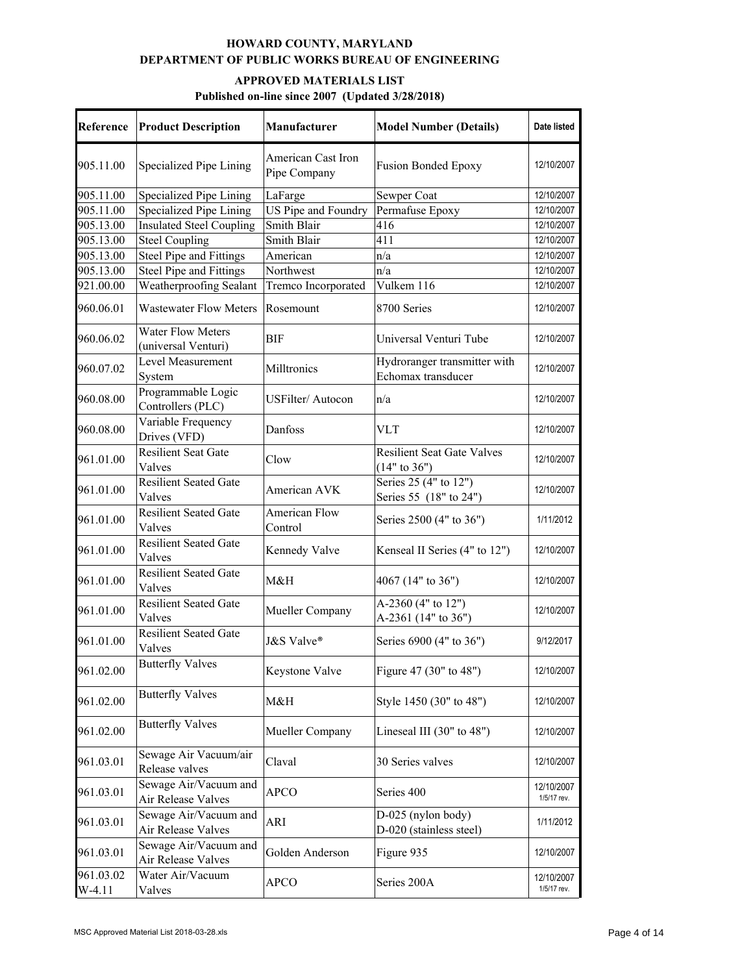| Reference             | <b>Product Description</b>                      | Manufacturer                       | <b>Model Number (Details)</b>                       | Date listed               |
|-----------------------|-------------------------------------------------|------------------------------------|-----------------------------------------------------|---------------------------|
| 905.11.00             | Specialized Pipe Lining                         | American Cast Iron<br>Pipe Company | <b>Fusion Bonded Epoxy</b>                          | 12/10/2007                |
| 905.11.00             | Specialized Pipe Lining                         | LaFarge                            | Sewper Coat                                         | 12/10/2007                |
| 905.11.00             | Specialized Pipe Lining                         | US Pipe and Foundry                | Permafuse Epoxy                                     | 12/10/2007                |
| 905.13.00             | <b>Insulated Steel Coupling</b>                 | Smith Blair                        | 416                                                 | 12/10/2007                |
| 905.13.00             | <b>Steel Coupling</b>                           | Smith Blair                        | 411                                                 | 12/10/2007                |
| 905.13.00             | <b>Steel Pipe and Fittings</b>                  | American                           | n/a                                                 | 12/10/2007                |
| 905.13.00             | Steel Pipe and Fittings                         | Northwest                          | n/a                                                 | 12/10/2007                |
| 921.00.00             | Weatherproofing Sealant                         | Tremco Incorporated                | Vulkem 116                                          | 12/10/2007                |
| 960.06.01             | <b>Wastewater Flow Meters</b>                   | Rosemount                          | 8700 Series                                         | 12/10/2007                |
| 960.06.02             | <b>Water Flow Meters</b><br>(universal Venturi) | <b>BIF</b>                         | Universal Venturi Tube                              | 12/10/2007                |
| 960.07.02             | Level Measurement<br>System                     | Milltronics                        | Hydroranger transmitter with<br>Echomax transducer  | 12/10/2007                |
| 960.08.00             | Programmable Logic<br>Controllers (PLC)         | <b>USFilter/Autocon</b>            | n/a                                                 | 12/10/2007                |
| 960.08.00             | Variable Frequency<br>Drives (VFD)              | Danfoss                            | <b>VLT</b>                                          | 12/10/2007                |
| 961.01.00             | <b>Resilient Seat Gate</b><br>Valves            | Clow                               | <b>Resilient Seat Gate Valves</b><br>$(14"$ to 36") | 12/10/2007                |
| 961.01.00             | <b>Resilient Seated Gate</b><br>Valves          | American AVK                       | Series 25 (4" to 12")<br>Series 55 (18" to 24")     | 12/10/2007                |
| 961.01.00             | <b>Resilient Seated Gate</b><br>Valves          | American Flow<br>Control           | Series 2500 (4" to 36")                             | 1/11/2012                 |
| 961.01.00             | <b>Resilient Seated Gate</b><br>Valves          | Kennedy Valve                      | Kenseal II Series (4" to 12")                       | 12/10/2007                |
| 961.01.00             | <b>Resilient Seated Gate</b><br>Valves          | M&H                                | 4067 (14" to 36")                                   | 12/10/2007                |
| 961.01.00             | <b>Resilient Seated Gate</b><br>Valves          | Mueller Company                    | A-2360 (4" to 12")<br>A-2361 (14" to 36")           | 12/10/2007                |
| 961.01.00             | <b>Resilient Seated Gate</b><br>Valves          | J&S Valve®                         | Series 6900 (4" to 36")                             | 9/12/2017                 |
| 961.02.00             | <b>Butterfly Valves</b>                         | Keystone Valve                     | Figure 47 (30" to 48")                              | 12/10/2007                |
| 961.02.00             | <b>Butterfly Valves</b>                         | M&H                                | Style 1450 (30" to 48")                             | 12/10/2007                |
| 961.02.00             | <b>Butterfly Valves</b>                         | Mueller Company                    | Lineseal III $(30"$ to $48")$                       | 12/10/2007                |
| 961.03.01             | Sewage Air Vacuum/air<br>Release valves         | Claval                             | 30 Series valves                                    | 12/10/2007                |
| 961.03.01             | Sewage Air/Vacuum and<br>Air Release Valves     | <b>APCO</b>                        | Series 400                                          | 12/10/2007<br>1/5/17 rev. |
| 961.03.01             | Sewage Air/Vacuum and<br>Air Release Valves     | ARI                                | D-025 (nylon body)<br>D-020 (stainless steel)       | 1/11/2012                 |
| 961.03.01             | Sewage Air/Vacuum and<br>Air Release Valves     | Golden Anderson                    | Figure 935                                          | 12/10/2007                |
| 961.03.02<br>$W-4.11$ | Water Air/Vacuum<br>Valves                      | <b>APCO</b>                        | Series 200A                                         | 12/10/2007<br>1/5/17 rev. |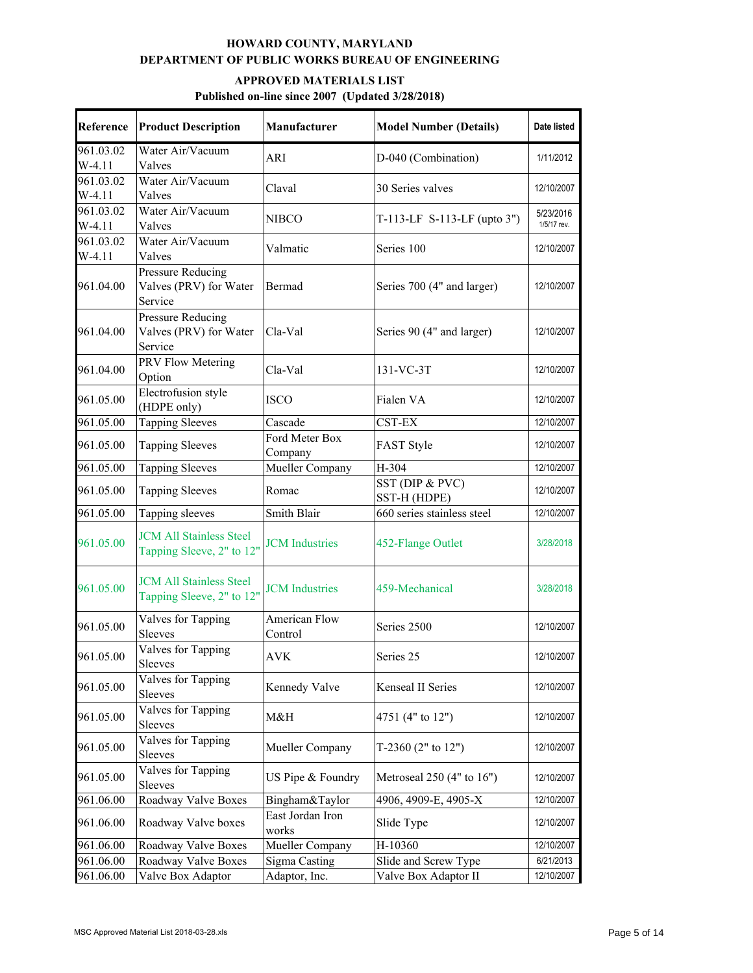| <b>Reference</b>      | <b>Product Description</b>                                  | Manufacturer                    | <b>Model Number (Details)</b>   | Date listed              |
|-----------------------|-------------------------------------------------------------|---------------------------------|---------------------------------|--------------------------|
| 961.03.02<br>$W-4.11$ | Water Air/Vacuum<br>Valves                                  | ARI                             | D-040 (Combination)             | 1/11/2012                |
| 961.03.02<br>$W-4.11$ | Water Air/Vacuum<br>Valves                                  | Claval                          | 30 Series valves                | 12/10/2007               |
| 961.03.02<br>$W-4.11$ | Water Air/Vacuum<br>Valves                                  | <b>NIBCO</b>                    | T-113-LF S-113-LF (upto 3")     | 5/23/2016<br>1/5/17 rev. |
| 961.03.02<br>$W-4.11$ | Water Air/Vacuum<br>Valves                                  | Valmatic                        | Series 100                      | 12/10/2007               |
| 961.04.00             | Pressure Reducing<br>Valves (PRV) for Water<br>Service      | Bermad                          | Series 700 (4" and larger)      | 12/10/2007               |
| 961.04.00             | Pressure Reducing<br>Valves (PRV) for Water<br>Service      | Cla-Val                         | Series 90 (4" and larger)       | 12/10/2007               |
| 961.04.00             | PRV Flow Metering<br>Option                                 | Cla-Val                         | 131-VC-3T                       | 12/10/2007               |
| 961.05.00             | Electrofusion style<br>(HDPE only)                          | <b>ISCO</b>                     | Fialen VA                       | 12/10/2007               |
| 961.05.00             | <b>Tapping Sleeves</b>                                      | Cascade                         | CST-EX                          | 12/10/2007               |
| 961.05.00             | <b>Tapping Sleeves</b>                                      | Ford Meter Box<br>Company       | FAST Style                      | 12/10/2007               |
| 961.05.00             | <b>Tapping Sleeves</b>                                      | Mueller Company                 | H-304                           | 12/10/2007               |
| 961.05.00             | <b>Tapping Sleeves</b>                                      | Romac                           | SST (DIP & PVC)<br>SST-H (HDPE) | 12/10/2007               |
| 961.05.00             | Tapping sleeves                                             | Smith Blair                     | 660 series stainless steel      | 12/10/2007               |
| 961.05.00             | <b>JCM All Stainless Steel</b><br>Tapping Sleeve, 2" to 12" | <b>JCM</b> Industries           | 452-Flange Outlet               | 3/28/2018                |
| 961.05.00             | <b>JCM All Stainless Steel</b><br>Tapping Sleeve, 2" to 12" | <b>JCM</b> Industries           | 459-Mechanical                  | 3/28/2018                |
| 961.05.00             | Valves for Tapping<br>Sleeves                               | <b>American Flow</b><br>Control | Series 2500                     | 12/10/2007               |
| 961.05.00             | Valves for Tapping<br>Sleeves                               | AVK                             | Series 25                       | 12/10/2007               |
| 961.05.00             | Valves for Tapping<br><b>Sleeves</b>                        | Kennedy Valve                   | Kenseal II Series               | 12/10/2007               |
| 961.05.00             | Valves for Tapping<br>Sleeves                               | M&H                             | 4751 (4" to 12")                | 12/10/2007               |
| 961.05.00             | Valves for Tapping<br>Sleeves                               | Mueller Company                 | T-2360 $(2"$ to $12")$          | 12/10/2007               |
| 961.05.00             | Valves for Tapping<br>Sleeves                               | US Pipe & Foundry               | Metroseal $250(4"$ to $16")$    | 12/10/2007               |
| 961.06.00             | Roadway Valve Boxes                                         | Bingham&Taylor                  | 4906, 4909-E, 4905-X            | 12/10/2007               |
| 961.06.00             | Roadway Valve boxes                                         | East Jordan Iron<br>works       | Slide Type                      | 12/10/2007               |
| 961.06.00             | Roadway Valve Boxes                                         | Mueller Company                 | H-10360                         | 12/10/2007               |
| 961.06.00             | Roadway Valve Boxes                                         | Sigma Casting                   | Slide and Screw Type            | 6/21/2013                |
| 961.06.00             | Valve Box Adaptor                                           | Adaptor, Inc.                   | Valve Box Adaptor II            | 12/10/2007               |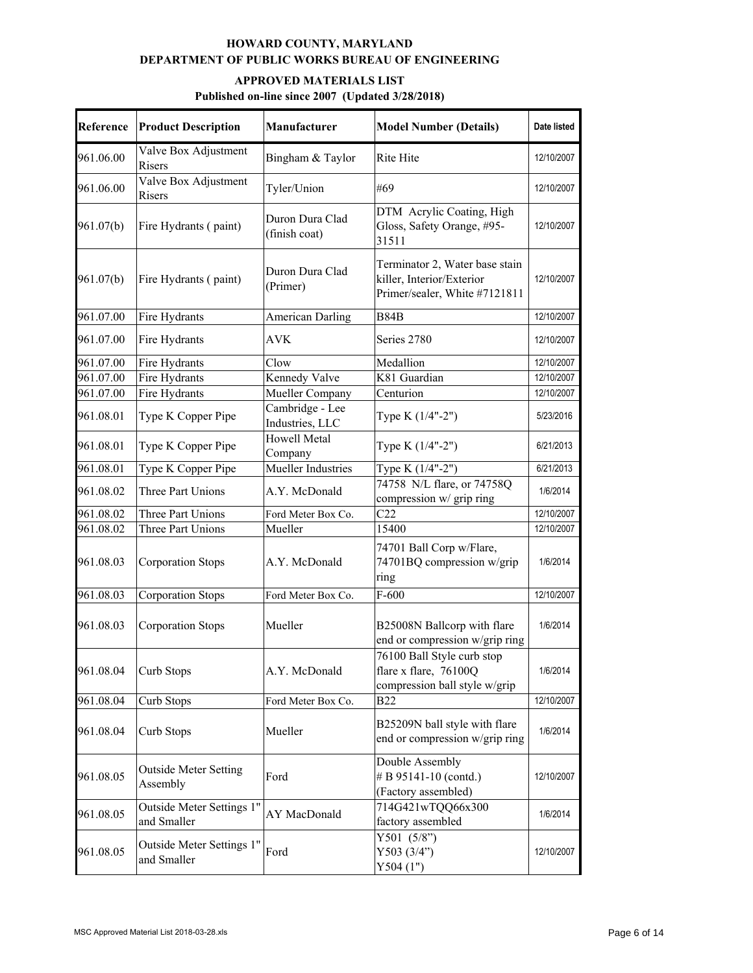| Reference | <b>Product Description</b>               | Manufacturer                       | <b>Model Number (Details)</b>                                                                | Date listed |
|-----------|------------------------------------------|------------------------------------|----------------------------------------------------------------------------------------------|-------------|
| 961.06.00 | Valve Box Adjustment<br>Risers           | Bingham & Taylor                   | Rite Hite                                                                                    | 12/10/2007  |
| 961.06.00 | Valve Box Adjustment<br>Risers           | Tyler/Union                        | #69                                                                                          | 12/10/2007  |
| 961.07(b) | Fire Hydrants (paint)                    | Duron Dura Clad<br>(finish coat)   | DTM Acrylic Coating, High<br>Gloss, Safety Orange, #95-<br>31511                             | 12/10/2007  |
| 961.07(b) | Fire Hydrants (paint)                    | Duron Dura Clad<br>(Primer)        | Terminator 2, Water base stain<br>killer, Interior/Exterior<br>Primer/sealer, White #7121811 | 12/10/2007  |
| 961.07.00 | Fire Hydrants                            | <b>American Darling</b>            | <b>B84B</b>                                                                                  | 12/10/2007  |
| 961.07.00 | Fire Hydrants                            | <b>AVK</b>                         | Series 2780                                                                                  | 12/10/2007  |
| 961.07.00 | Fire Hydrants                            | Clow                               | Medallion                                                                                    | 12/10/2007  |
| 961.07.00 | Fire Hydrants                            | Kennedy Valve                      | K81 Guardian                                                                                 | 12/10/2007  |
| 961.07.00 | Fire Hydrants                            | Mueller Company                    | Centurion                                                                                    | 12/10/2007  |
| 961.08.01 | Type K Copper Pipe                       | Cambridge - Lee<br>Industries, LLC | Type K (1/4"-2")                                                                             | 5/23/2016   |
| 961.08.01 | Type K Copper Pipe                       | Howell Metal<br>Company            | Type K (1/4"-2")                                                                             | 6/21/2013   |
| 961.08.01 | Type K Copper Pipe                       | Mueller Industries                 | Type K (1/4"-2")                                                                             | 6/21/2013   |
| 961.08.02 | Three Part Unions                        | A.Y. McDonald                      | 74758 N/L flare, or 74758Q<br>compression w/ grip ring                                       | 1/6/2014    |
| 961.08.02 | Three Part Unions                        | Ford Meter Box Co.                 | C22                                                                                          | 12/10/2007  |
| 961.08.02 | Three Part Unions                        | Mueller                            | 15400                                                                                        | 12/10/2007  |
| 961.08.03 | <b>Corporation Stops</b>                 | A.Y. McDonald                      | 74701 Ball Corp w/Flare,<br>74701BQ compression w/grip<br>ring                               | 1/6/2014    |
| 961.08.03 | <b>Corporation Stops</b>                 | Ford Meter Box Co.                 | $F-600$                                                                                      | 12/10/2007  |
| 961.08.03 | <b>Corporation Stops</b>                 | Mueller                            | B25008N Ballcorp with flare<br>end or compression w/grip ring                                | 1/6/2014    |
| 961.08.04 | Curb Stops                               | A.Y. McDonald                      | 76100 Ball Style curb stop<br>flare x flare, 76100Q<br>compression ball style w/grip         | 1/6/2014    |
| 961.08.04 | Curb Stops                               | Ford Meter Box Co.                 | <b>B22</b>                                                                                   | 12/10/2007  |
| 961.08.04 | Curb Stops                               | Mueller                            | B25209N ball style with flare<br>end or compression w/grip ring                              | 1/6/2014    |
| 961.08.05 | <b>Outside Meter Setting</b><br>Assembly | Ford                               | Double Assembly<br># B 95141-10 (contd.)<br>(Factory assembled)                              | 12/10/2007  |
| 961.08.05 | Outside Meter Settings 1"<br>and Smaller | AY MacDonald                       | 714G421wTQQ66x300<br>factory assembled                                                       | 1/6/2014    |
| 961.08.05 | Outside Meter Settings 1"<br>and Smaller | Ford                               | Y501 $(5/8")$<br>Y503 $(3/4")$<br>Y504(1")                                                   | 12/10/2007  |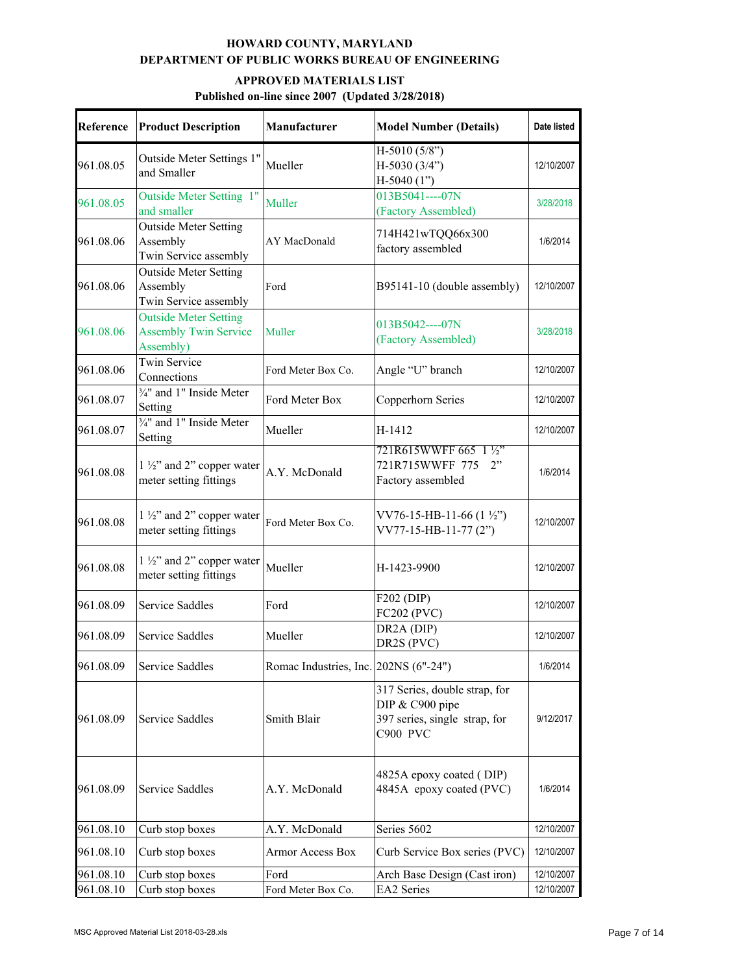| <b>Reference</b>       | <b>Product Description</b>                                                | Manufacturer                          | <b>Model Number (Details)</b>                                                                 | Date listed              |
|------------------------|---------------------------------------------------------------------------|---------------------------------------|-----------------------------------------------------------------------------------------------|--------------------------|
| 961.08.05              | Outside Meter Settings 1"<br>and Smaller                                  | Mueller                               | $H-5010(5/8")$<br>H-5030 (3/4")<br>$H-5040(1")$                                               | 12/10/2007               |
| 961.08.05              | Outside Meter Setting 1"<br>and smaller                                   | Muller                                | 013B5041----07N<br>(Factory Assembled)                                                        | 3/28/2018                |
| 961.08.06              | <b>Outside Meter Setting</b><br>Assembly<br>Twin Service assembly         | AY MacDonald                          | 714H421wTQQ66x300<br>factory assembled                                                        | 1/6/2014                 |
| 961.08.06              | <b>Outside Meter Setting</b><br>Assembly<br>Twin Service assembly         | Ford                                  | B95141-10 (double assembly)                                                                   | 12/10/2007               |
| 961.08.06              | <b>Outside Meter Setting</b><br><b>Assembly Twin Service</b><br>Assembly) | Muller                                | $013B5042---07N$<br>(Factory Assembled)                                                       | 3/28/2018                |
| 961.08.06              | <b>Twin Service</b><br>Connections                                        | Ford Meter Box Co.                    | Angle "U" branch                                                                              | 12/10/2007               |
| 961.08.07              | 3/4" and 1" Inside Meter<br>Setting                                       | Ford Meter Box                        | Copperhorn Series                                                                             | 12/10/2007               |
| 961.08.07              | 3/4" and 1" Inside Meter<br>Setting                                       | Mueller                               | H-1412                                                                                        | 12/10/2007               |
| 961.08.08              | $1\frac{1}{2}$ and 2" copper water<br>meter setting fittings              | A.Y. McDonald                         | 721R615WWFF 665 1 1/2"<br>721R715WWFF 775<br>2"<br>Factory assembled                          | 1/6/2014                 |
| 961.08.08              | $1\frac{1}{2}$ and 2" copper water<br>meter setting fittings              | Ford Meter Box Co.                    | VV76-15-HB-11-66 $(1 \frac{1}{2})$<br>VV77-15-HB-11-77 (2")                                   | 12/10/2007               |
| 961.08.08              | $1\frac{1}{2}$ and 2" copper water<br>meter setting fittings              | Mueller                               | H-1423-9900                                                                                   | 12/10/2007               |
| 961.08.09              | <b>Service Saddles</b>                                                    | Ford                                  | F202 (DIP)<br><b>FC202 (PVC)</b>                                                              | 12/10/2007               |
| 961.08.09              | Service Saddles                                                           | Mueller                               | DR2A (DIP)<br>DR2S (PVC)                                                                      | 12/10/2007               |
| 961.08.09              | Service Saddles                                                           | Romac Industries, Inc. 202NS (6"-24") |                                                                                               | 1/6/2014                 |
| 961.08.09              | Service Saddles                                                           | Smith Blair                           | 317 Series, double strap, for<br>DIP & C900 pipe<br>397 series, single strap, for<br>C900 PVC | 9/12/2017                |
| 961.08.09              | Service Saddles                                                           | A.Y. McDonald                         | 4825A epoxy coated (DIP)<br>4845A epoxy coated (PVC)                                          | 1/6/2014                 |
| 961.08.10              | Curb stop boxes                                                           | A.Y. McDonald                         | Series 5602                                                                                   | 12/10/2007               |
| 961.08.10              | Curb stop boxes                                                           | <b>Armor Access Box</b>               | Curb Service Box series (PVC)                                                                 | 12/10/2007               |
| 961.08.10<br>961.08.10 | Curb stop boxes<br>Curb stop boxes                                        | Ford<br>Ford Meter Box Co.            | Arch Base Design (Cast iron)<br>EA2 Series                                                    | 12/10/2007<br>12/10/2007 |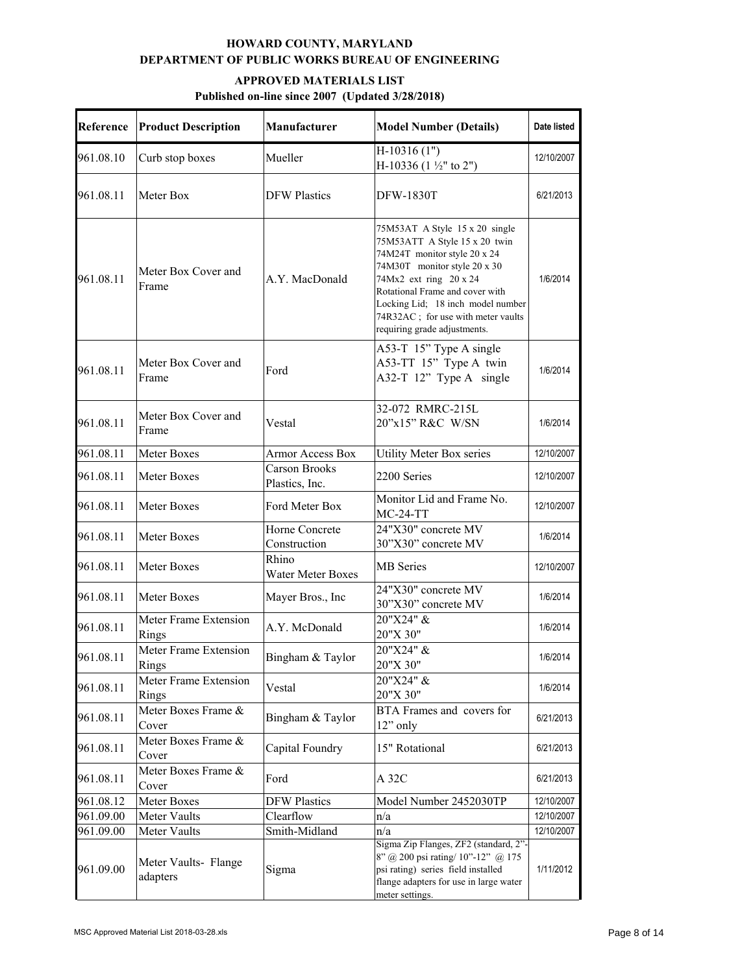| Reference | <b>Product Description</b>       | <b>Manufacturer</b>                    | <b>Model Number (Details)</b>                                                                                                                                                                                                                                                                           | Date listed |
|-----------|----------------------------------|----------------------------------------|---------------------------------------------------------------------------------------------------------------------------------------------------------------------------------------------------------------------------------------------------------------------------------------------------------|-------------|
| 961.08.10 | Curb stop boxes                  | Mueller                                | $H-10316(1")$<br>H-10336 (1 $\frac{1}{2}$ " to 2")                                                                                                                                                                                                                                                      | 12/10/2007  |
| 961.08.11 | Meter Box                        | <b>DFW Plastics</b>                    | <b>DFW-1830T</b>                                                                                                                                                                                                                                                                                        | 6/21/2013   |
| 961.08.11 | Meter Box Cover and<br>Frame     | A.Y. MacDonald                         | 75M53AT A Style 15 x 20 single<br>75M53ATT A Style 15 x 20 twin<br>74M24T monitor style 20 x 24<br>74M30T monitor style 20 x 30<br>74Mx2 ext ring 20 x 24<br>Rotational Frame and cover with<br>Locking Lid; 18 inch model number<br>74R32AC; for use with meter vaults<br>requiring grade adjustments. | 1/6/2014    |
| 961.08.11 | Meter Box Cover and<br>Frame     | Ford                                   | A53-T 15" Type A single<br>A53-TT 15" Type A twin<br>A32-T 12" Type A single                                                                                                                                                                                                                            | 1/6/2014    |
| 961.08.11 | Meter Box Cover and<br>Frame     | Vestal                                 | 32-072 RMRC-215L<br>20"x15" R&C W/SN                                                                                                                                                                                                                                                                    | 1/6/2014    |
| 961.08.11 | Meter Boxes                      | <b>Armor Access Box</b>                | Utility Meter Box series                                                                                                                                                                                                                                                                                | 12/10/2007  |
| 961.08.11 | Meter Boxes                      | <b>Carson Brooks</b><br>Plastics, Inc. | 2200 Series                                                                                                                                                                                                                                                                                             | 12/10/2007  |
| 961.08.11 | Meter Boxes                      | Ford Meter Box                         | Monitor Lid and Frame No.<br>$MC-24-TT$                                                                                                                                                                                                                                                                 | 12/10/2007  |
| 961.08.11 | Meter Boxes                      | Horne Concrete<br>Construction         | 24"X30" concrete MV<br>30"X30" concrete MV                                                                                                                                                                                                                                                              | 1/6/2014    |
| 961.08.11 | Meter Boxes                      | Rhino<br>Water Meter Boxes             | MB Series                                                                                                                                                                                                                                                                                               | 12/10/2007  |
| 961.08.11 | Meter Boxes                      | Mayer Bros., Inc                       | 24"X30" concrete MV<br>30"X30" concrete MV                                                                                                                                                                                                                                                              | 1/6/2014    |
| 961.08.11 | Meter Frame Extension<br>Rings   | A.Y. McDonald                          | 20"X24" &<br>20"X 30"                                                                                                                                                                                                                                                                                   | 1/6/2014    |
| 961.08.11 | Meter Frame Extension<br>Rings   | Bingham & Taylor                       | 20"X24" &<br>20"X 30"                                                                                                                                                                                                                                                                                   | 1/6/2014    |
| 961.08.11 | Meter Frame Extension<br>Rings   | Vestal                                 | 20"X24" &<br>20"X 30"                                                                                                                                                                                                                                                                                   | 1/6/2014    |
| 961.08.11 | Meter Boxes Frame &<br>Cover     | Bingham & Taylor                       | BTA Frames and covers for<br>12" only                                                                                                                                                                                                                                                                   | 6/21/2013   |
| 961.08.11 | Meter Boxes Frame &<br>Cover     | Capital Foundry                        | 15" Rotational                                                                                                                                                                                                                                                                                          | 6/21/2013   |
| 961.08.11 | Meter Boxes Frame &<br>Cover     | Ford                                   | A 32C                                                                                                                                                                                                                                                                                                   | 6/21/2013   |
| 961.08.12 | Meter Boxes                      | <b>DFW Plastics</b>                    | Model Number 2452030TP                                                                                                                                                                                                                                                                                  | 12/10/2007  |
| 961.09.00 | Meter Vaults                     | Clearflow                              | n/a                                                                                                                                                                                                                                                                                                     | 12/10/2007  |
| 961.09.00 | Meter Vaults                     | Smith-Midland                          | n/a                                                                                                                                                                                                                                                                                                     | 12/10/2007  |
| 961.09.00 | Meter Vaults- Flange<br>adapters | Sigma                                  | Sigma Zip Flanges, ZF2 (standard, 2"-<br>8" @ 200 psi rating/ 10"-12" @ 175<br>psi rating) series field installed<br>flange adapters for use in large water<br>meter settings.                                                                                                                          | 1/11/2012   |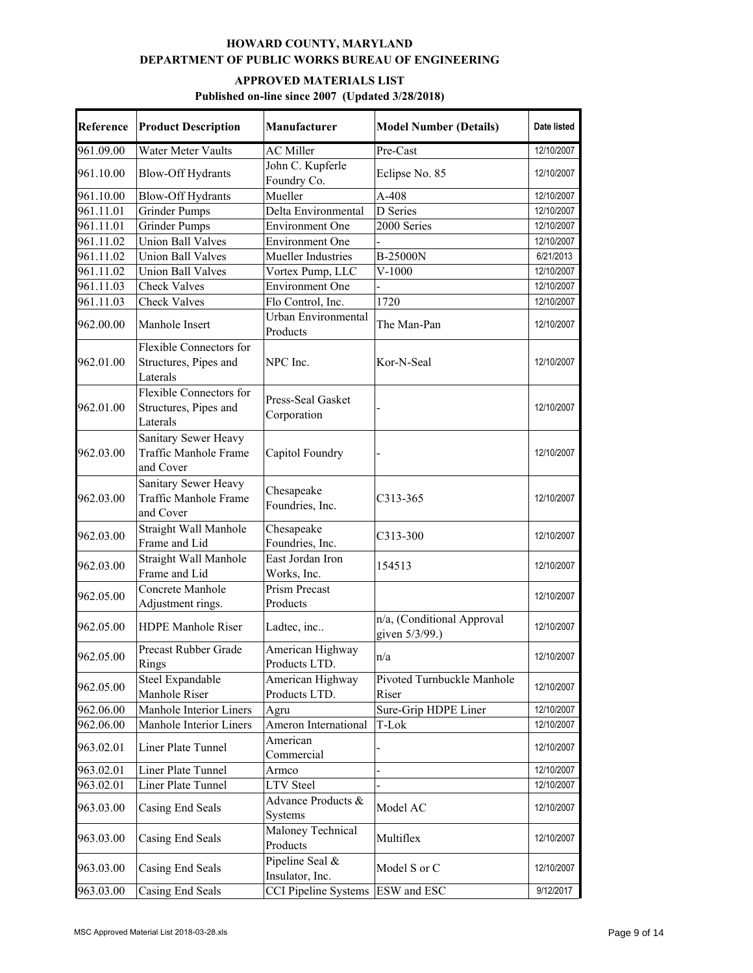| Reference | <b>Product Description</b>                                   | Manufacturer                       | <b>Model Number (Details)</b>                | Date listed |
|-----------|--------------------------------------------------------------|------------------------------------|----------------------------------------------|-------------|
| 961.09.00 | Water Meter Vaults                                           | <b>AC</b> Miller                   | Pre-Cast                                     | 12/10/2007  |
| 961.10.00 | <b>Blow-Off Hydrants</b>                                     | John C. Kupferle<br>Foundry Co.    | Eclipse No. 85                               | 12/10/2007  |
| 961.10.00 | <b>Blow-Off Hydrants</b>                                     | Mueller                            | A-408                                        | 12/10/2007  |
| 961.11.01 | <b>Grinder Pumps</b>                                         | Delta Environmental                | D Series                                     | 12/10/2007  |
| 961.11.01 | <b>Grinder Pumps</b>                                         | <b>Environment One</b>             | 2000 Series                                  | 12/10/2007  |
| 961.11.02 | <b>Union Ball Valves</b>                                     | <b>Environment One</b>             |                                              | 12/10/2007  |
| 961.11.02 | <b>Union Ball Valves</b>                                     | Mueller Industries                 | B-25000N                                     | 6/21/2013   |
| 961.11.02 | <b>Union Ball Valves</b>                                     | Vortex Pump, LLC                   | $V-1000$                                     | 12/10/2007  |
| 961.11.03 | <b>Check Valves</b>                                          | <b>Environment One</b>             |                                              | 12/10/2007  |
| 961.11.03 | <b>Check Valves</b>                                          | Flo Control, Inc.                  | 1720                                         | 12/10/2007  |
| 962.00.00 | Manhole Insert                                               | Urban Environmental<br>Products    | The Man-Pan                                  | 12/10/2007  |
| 962.01.00 | Flexible Connectors for<br>Structures, Pipes and<br>Laterals | NPC Inc.                           | Kor-N-Seal                                   | 12/10/2007  |
| 962.01.00 | Flexible Connectors for<br>Structures, Pipes and<br>Laterals | Press-Seal Gasket<br>Corporation   |                                              | 12/10/2007  |
| 962.03.00 | Sanitary Sewer Heavy<br>Traffic Manhole Frame<br>and Cover   | Capitol Foundry                    |                                              | 12/10/2007  |
| 962.03.00 | Sanitary Sewer Heavy<br>Traffic Manhole Frame<br>and Cover   | Chesapeake<br>Foundries, Inc.      | C313-365                                     | 12/10/2007  |
| 962.03.00 | Straight Wall Manhole<br>Frame and Lid                       | Chesapeake<br>Foundries, Inc.      | C313-300                                     | 12/10/2007  |
| 962.03.00 | Straight Wall Manhole<br>Frame and Lid                       | East Jordan Iron<br>Works, Inc.    | 154513                                       | 12/10/2007  |
| 962.05.00 | Concrete Manhole<br>Adjustment rings.                        | <b>Prism Precast</b><br>Products   |                                              | 12/10/2007  |
| 962.05.00 | <b>HDPE Manhole Riser</b>                                    | Ladtec, inc                        | n/a, (Conditional Approval<br>given 5/3/99.) | 12/10/2007  |
| 962.05.00 | Precast Rubber Grade<br>Rings                                | American Highway<br>Products LTD.  | n/a                                          | 12/10/2007  |
| 962.05.00 | Steel Expandable<br>Manhole Riser                            | American Highway<br>Products LTD.  | Pivoted Turnbuckle Manhole<br>Riser          | 12/10/2007  |
| 962.06.00 | Manhole Interior Liners                                      | Agru                               | Sure-Grip HDPE Liner                         | 12/10/2007  |
| 962.06.00 | Manhole Interior Liners                                      | Ameron International               | T-Lok                                        | 12/10/2007  |
| 963.02.01 | Liner Plate Tunnel                                           | American<br>Commercial             |                                              | 12/10/2007  |
| 963.02.01 | Liner Plate Tunnel                                           | Armco                              |                                              | 12/10/2007  |
| 963.02.01 | Liner Plate Tunnel                                           | <b>LTV</b> Steel                   |                                              | 12/10/2007  |
| 963.03.00 | Casing End Seals                                             | Advance Products &<br>Systems      | Model AC                                     | 12/10/2007  |
| 963.03.00 | Casing End Seals                                             | Maloney Technical<br>Products      | Multiflex                                    | 12/10/2007  |
| 963.03.00 | Casing End Seals                                             | Pipeline Seal &<br>Insulator, Inc. | Model S or C                                 | 12/10/2007  |
| 963.03.00 | Casing End Seals                                             | <b>CCI Pipeline Systems</b>        | ESW and ESC                                  | 9/12/2017   |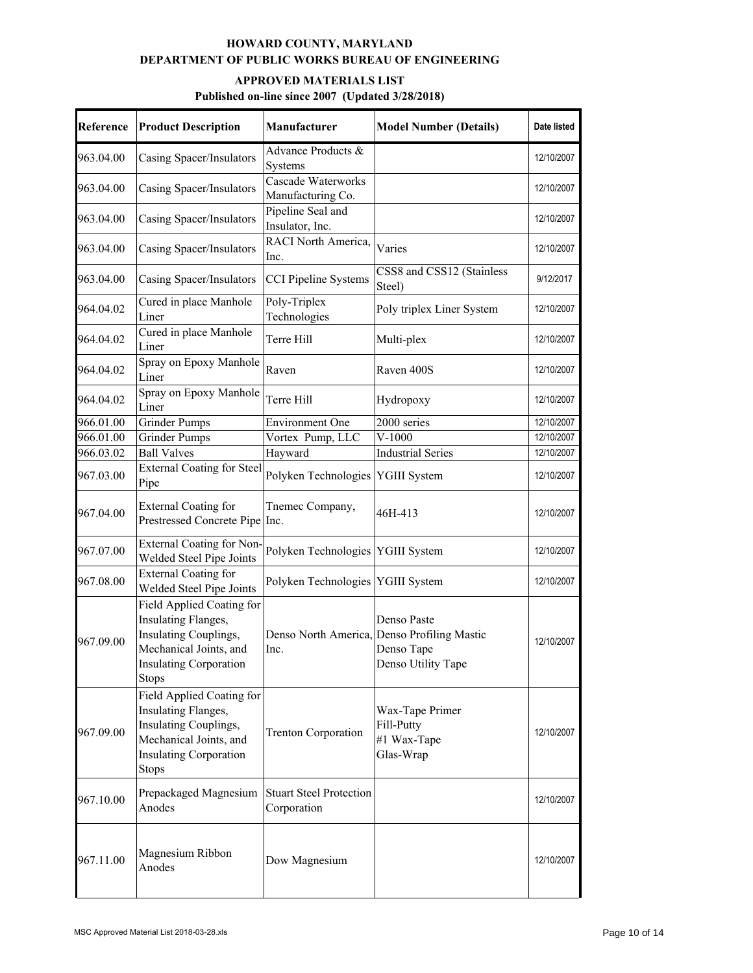| Reference | <b>Product Description</b>                                                                                                                           | Manufacturer                                  | <b>Model Number (Details)</b>                                                                  | Date listed |
|-----------|------------------------------------------------------------------------------------------------------------------------------------------------------|-----------------------------------------------|------------------------------------------------------------------------------------------------|-------------|
| 963.04.00 | Casing Spacer/Insulators                                                                                                                             | Advance Products &<br>Systems                 |                                                                                                | 12/10/2007  |
| 963.04.00 | Casing Spacer/Insulators                                                                                                                             | Cascade Waterworks<br>Manufacturing Co.       |                                                                                                | 12/10/2007  |
| 963.04.00 | Casing Spacer/Insulators                                                                                                                             | Pipeline Seal and<br>Insulator, Inc.          |                                                                                                | 12/10/2007  |
| 963.04.00 | Casing Spacer/Insulators                                                                                                                             | RACI North America,<br>Inc.                   | Varies                                                                                         | 12/10/2007  |
| 963.04.00 | Casing Spacer/Insulators                                                                                                                             | <b>CCI Pipeline Systems</b>                   | CSS8 and CSS12 (Stainless<br>Steel)                                                            | 9/12/2017   |
| 964.04.02 | Cured in place Manhole<br>Liner                                                                                                                      | Poly-Triplex<br>Technologies                  | Poly triplex Liner System                                                                      | 12/10/2007  |
| 964.04.02 | Cured in place Manhole<br>Liner                                                                                                                      | Terre Hill                                    | Multi-plex                                                                                     | 12/10/2007  |
| 964.04.02 | Spray on Epoxy Manhole<br>Liner                                                                                                                      | Raven                                         | Raven 400S                                                                                     | 12/10/2007  |
| 964.04.02 | Spray on Epoxy Manhole<br>Liner                                                                                                                      | Terre Hill                                    | Hydropoxy                                                                                      | 12/10/2007  |
| 966.01.00 | <b>Grinder Pumps</b>                                                                                                                                 | <b>Environment One</b>                        | 2000 series                                                                                    | 12/10/2007  |
| 966.01.00 | <b>Grinder Pumps</b>                                                                                                                                 | Vortex Pump, LLC                              | $V-1000$                                                                                       | 12/10/2007  |
| 966.03.02 | <b>Ball Valves</b>                                                                                                                                   | Hayward                                       | <b>Industrial Series</b>                                                                       | 12/10/2007  |
| 967.03.00 | <b>External Coating for Steel</b><br>Pipe                                                                                                            | Polyken Technologies YGIII System             |                                                                                                | 12/10/2007  |
| 967.04.00 | <b>External Coating for</b><br>Prestressed Concrete Pipe                                                                                             | Tnemec Company,<br>Inc.                       | 46H-413                                                                                        | 12/10/2007  |
| 967.07.00 | <b>External Coating for Non-</b><br>Welded Steel Pipe Joints                                                                                         | Polyken Technologies YGIII System             |                                                                                                | 12/10/2007  |
| 967.08.00 | <b>External Coating for</b><br>Welded Steel Pipe Joints                                                                                              | Polyken Technologies YGIII System             |                                                                                                | 12/10/2007  |
| 967.09.00 | Field Applied Coating for<br>Insulating Flanges,<br>Insulating Couplings,<br>Mechanical Joints, and<br><b>Insulating Corporation</b><br><b>Stops</b> | Inc.                                          | Denso Paste<br>Denso North America, Denso Profiling Mastic<br>Denso Tape<br>Denso Utility Tape | 12/10/2007  |
| 967.09.00 | Field Applied Coating for<br>Insulating Flanges,<br>Insulating Couplings,<br>Mechanical Joints, and<br><b>Insulating Corporation</b><br><b>Stops</b> | <b>Trenton Corporation</b>                    | Wax-Tape Primer<br>Fill-Putty<br>#1 Wax-Tape<br>Glas-Wrap                                      | 12/10/2007  |
| 967.10.00 | Prepackaged Magnesium<br>Anodes                                                                                                                      | <b>Stuart Steel Protection</b><br>Corporation |                                                                                                | 12/10/2007  |
| 967.11.00 | Magnesium Ribbon<br>Anodes                                                                                                                           | Dow Magnesium                                 |                                                                                                | 12/10/2007  |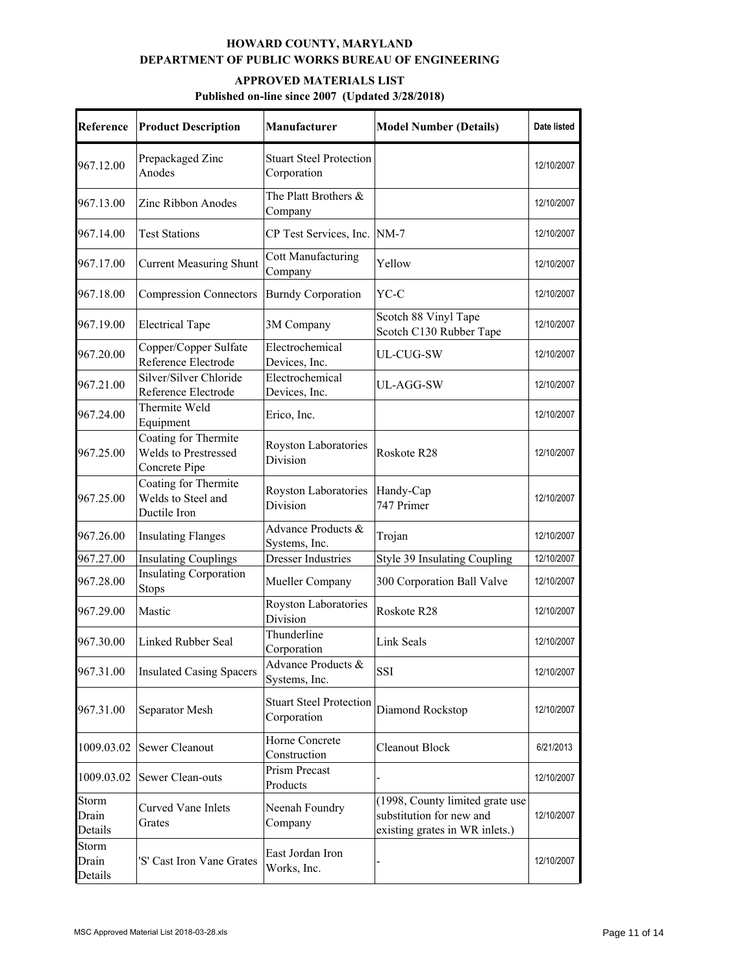| Reference                 | <b>Product Description</b>                                    | <b>Manufacturer</b>                           | <b>Model Number (Details)</b>                                                                 | Date listed |
|---------------------------|---------------------------------------------------------------|-----------------------------------------------|-----------------------------------------------------------------------------------------------|-------------|
| 967.12.00                 | Prepackaged Zinc<br>Anodes                                    | <b>Stuart Steel Protection</b><br>Corporation |                                                                                               | 12/10/2007  |
| 967.13.00                 | Zinc Ribbon Anodes                                            | The Platt Brothers &<br>Company               |                                                                                               | 12/10/2007  |
| 967.14.00                 | <b>Test Stations</b>                                          | CP Test Services, Inc.                        | $NM-7$                                                                                        | 12/10/2007  |
| 967.17.00                 | <b>Current Measuring Shunt</b>                                | <b>Cott Manufacturing</b><br>Company          | Yellow                                                                                        | 12/10/2007  |
| 967.18.00                 | <b>Compression Connectors</b>                                 | <b>Burndy Corporation</b>                     | YC-C                                                                                          | 12/10/2007  |
| 967.19.00                 | <b>Electrical Tape</b>                                        | 3M Company                                    | Scotch 88 Vinyl Tape<br>Scotch C130 Rubber Tape                                               | 12/10/2007  |
| 967.20.00                 | Copper/Copper Sulfate<br>Reference Electrode                  | Electrochemical<br>Devices, Inc.              | UL-CUG-SW                                                                                     | 12/10/2007  |
| 967.21.00                 | Silver/Silver Chloride<br>Reference Electrode                 | Electrochemical<br>Devices, Inc.              | UL-AGG-SW                                                                                     | 12/10/2007  |
| 967.24.00                 | Thermite Weld<br>Equipment                                    | Erico, Inc.                                   |                                                                                               | 12/10/2007  |
| 967.25.00                 | Coating for Thermite<br>Welds to Prestressed<br>Concrete Pipe | Royston Laboratories<br>Division              | Roskote R28                                                                                   | 12/10/2007  |
| 967.25.00                 | Coating for Thermite<br>Welds to Steel and<br>Ductile Iron    | Royston Laboratories<br>Division              | Handy-Cap<br>747 Primer                                                                       | 12/10/2007  |
| 967.26.00                 | <b>Insulating Flanges</b>                                     | Advance Products &<br>Systems, Inc.           | Trojan                                                                                        | 12/10/2007  |
| 967.27.00                 | <b>Insulating Couplings</b>                                   | <b>Dresser Industries</b>                     | Style 39 Insulating Coupling                                                                  | 12/10/2007  |
| 967.28.00                 | <b>Insulating Corporation</b><br><b>Stops</b>                 | Mueller Company                               | 300 Corporation Ball Valve                                                                    | 12/10/2007  |
| 967.29.00                 | Mastic                                                        | Royston Laboratories<br>Division              | Roskote R28                                                                                   | 12/10/2007  |
| 967.30.00                 | Linked Rubber Seal                                            | Thunderline<br>Corporation                    | Link Seals                                                                                    | 12/10/2007  |
| 967.31.00                 | <b>Insulated Casing Spacers</b>                               | Advance Products &<br>Systems, Inc.           | SSI                                                                                           | 12/10/2007  |
| 967.31.00                 | Separator Mesh                                                | <b>Stuart Steel Protection</b><br>Corporation | Diamond Rockstop                                                                              | 12/10/2007  |
| 1009.03.02                | Sewer Cleanout                                                | Horne Concrete<br>Construction                | Cleanout Block                                                                                | 6/21/2013   |
| 1009.03.02                | Sewer Clean-outs                                              | Prism Precast<br>Products                     |                                                                                               | 12/10/2007  |
| Storm<br>Drain<br>Details | Curved Vane Inlets<br>Grates                                  | Neenah Foundry<br>Company                     | (1998, County limited grate use<br>substitution for new and<br>existing grates in WR inlets.) | 12/10/2007  |
| Storm<br>Drain<br>Details | 'S' Cast Iron Vane Grates                                     | East Jordan Iron<br>Works, Inc.               |                                                                                               | 12/10/2007  |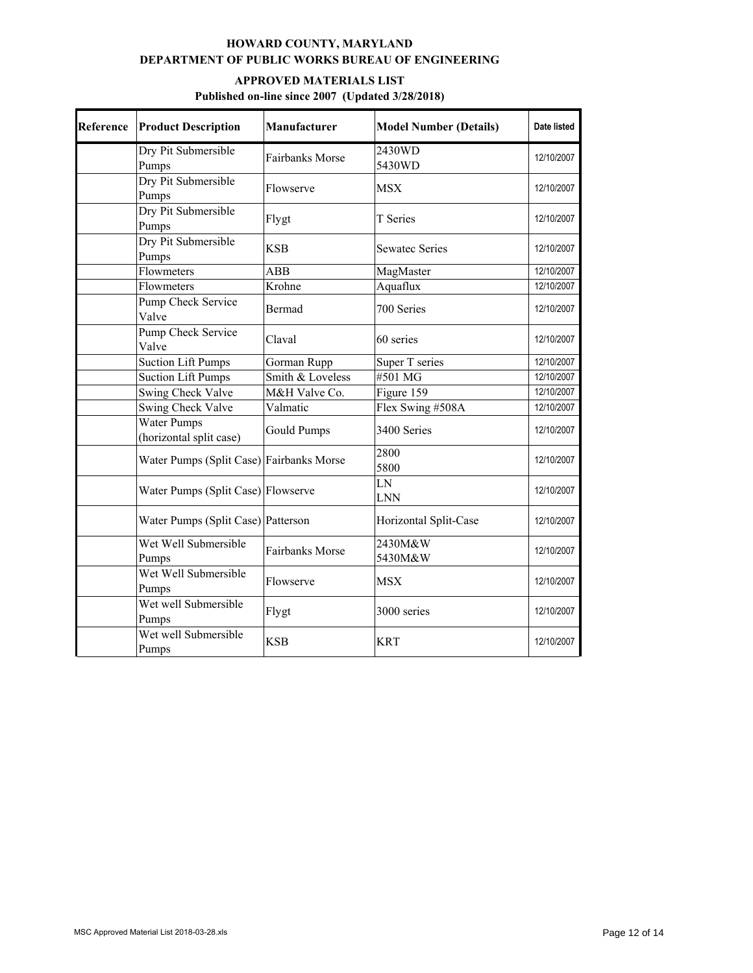| Reference | <b>Product Description</b>                    | Manufacturer       | <b>Model Number (Details)</b> | Date listed |
|-----------|-----------------------------------------------|--------------------|-------------------------------|-------------|
|           | Dry Pit Submersible<br>Pumps                  | Fairbanks Morse    | 2430WD<br>5430WD              | 12/10/2007  |
|           | Dry Pit Submersible<br>Pumps                  | Flowserve          | <b>MSX</b>                    | 12/10/2007  |
|           | Dry Pit Submersible<br>Pumps                  | Flygt              | T Series                      | 12/10/2007  |
|           | Dry Pit Submersible<br>Pumps                  | <b>KSB</b>         | <b>Sewatec Series</b>         | 12/10/2007  |
|           | Flowmeters                                    | ABB                | MagMaster                     | 12/10/2007  |
|           | Flowmeters                                    | Krohne             | Aquaflux                      | 12/10/2007  |
|           | Pump Check Service<br>Valve                   | Bermad             | 700 Series                    | 12/10/2007  |
|           | Pump Check Service<br>Valve                   | Claval             | 60 series                     | 12/10/2007  |
|           | <b>Suction Lift Pumps</b>                     | Gorman Rupp        | Super T series                | 12/10/2007  |
|           | <b>Suction Lift Pumps</b>                     | Smith & Loveless   | #501 MG                       | 12/10/2007  |
|           | Swing Check Valve                             | M&H Valve Co.      | Figure 159                    | 12/10/2007  |
|           | Swing Check Valve                             | Valmatic           | Flex Swing #508A              | 12/10/2007  |
|           | <b>Water Pumps</b><br>(horizontal split case) | <b>Gould Pumps</b> | 3400 Series                   | 12/10/2007  |
|           | Water Pumps (Split Case) Fairbanks Morse      |                    | 2800<br>5800                  | 12/10/2007  |
|           | Water Pumps (Split Case) Flowserve            |                    | LN<br><b>LNN</b>              | 12/10/2007  |
|           | Water Pumps (Split Case) Patterson            |                    | Horizontal Split-Case         | 12/10/2007  |
|           | Wet Well Submersible<br>Pumps                 | Fairbanks Morse    | 2430M&W<br>5430M&W            | 12/10/2007  |
|           | Wet Well Submersible<br>Pumps                 | Flowserve          | <b>MSX</b>                    | 12/10/2007  |
|           | Wet well Submersible<br>Pumps                 | Flygt              | 3000 series                   | 12/10/2007  |
|           | Wet well Submersible<br>Pumps                 | <b>KSB</b>         | <b>KRT</b>                    | 12/10/2007  |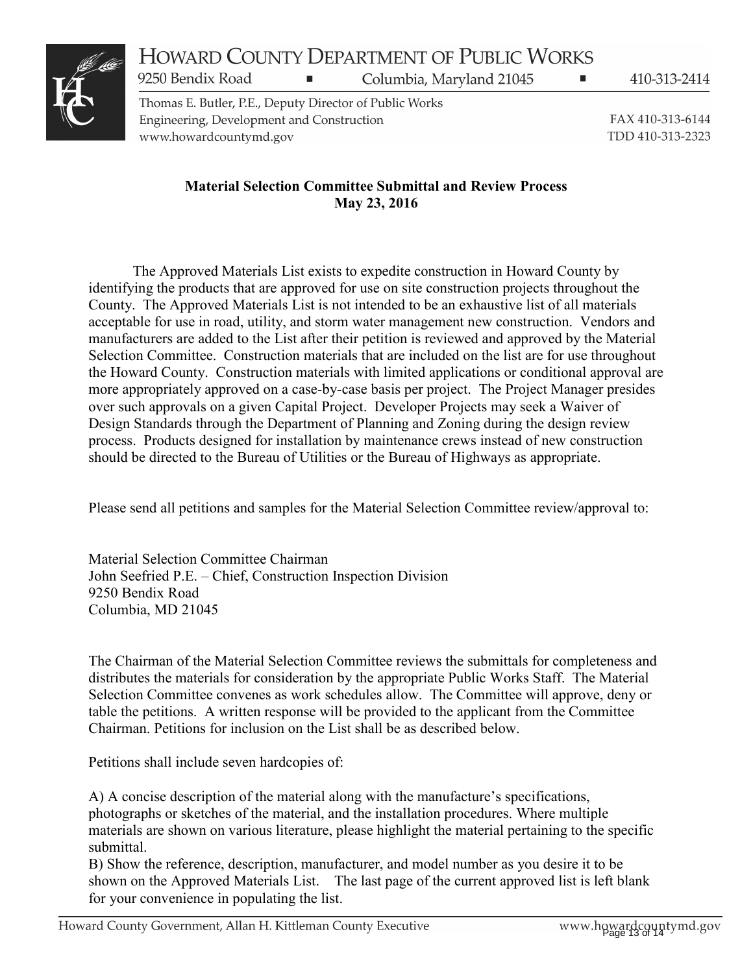# HOWARD COUNTY DEPARTMENT OF PUBLIC WORKS

Columbia, Maryland 21045



Thomas E. Butler, P.E., Deputy Director of Public Works Engineering, Development and Construction www.howardcountymd.gov

9250 Bendix Road

410-313-2414

FAX 410-313-6144 TDD 410-313-2323

# **Material Selection Committee Submittal and Review Process May 23, 2016**

 The Approved Materials List exists to expedite construction in Howard County by identifying the products that are approved for use on site construction projects throughout the County. The Approved Materials List is not intended to be an exhaustive list of all materials acceptable for use in road, utility, and storm water management new construction. Vendors and manufacturers are added to the List after their petition is reviewed and approved by the Material Selection Committee. Construction materials that are included on the list are for use throughout the Howard County. Construction materials with limited applications or conditional approval are more appropriately approved on a case-by-case basis per project. The Project Manager presides over such approvals on a given Capital Project. Developer Projects may seek a Waiver of Design Standards through the Department of Planning and Zoning during the design review process. Products designed for installation by maintenance crews instead of new construction should be directed to the Bureau of Utilities or the Bureau of Highways as appropriate.

Please send all petitions and samples for the Material Selection Committee review/approval to:

Material Selection Committee Chairman John Seefried P.E. – Chief, Construction Inspection Division 9250 Bendix Road Columbia, MD 21045

The Chairman of the Material Selection Committee reviews the submittals for completeness and distributes the materials for consideration by the appropriate Public Works Staff. The Material Selection Committee convenes as work schedules allow. The Committee will approve, deny or table the petitions. A written response will be provided to the applicant from the Committee Chairman. Petitions for inclusion on the List shall be as described below.

Petitions shall include seven hardcopies of:

A) A concise description of the material along with the manufacture's specifications, photographs or sketches of the material, and the installation procedures. Where multiple materials are shown on various literature, please highlight the material pertaining to the specific submittal.

B) Show the reference, description, manufacturer, and model number as you desire it to be shown on the Approved Materials List. The last page of the current approved list is left blank for your convenience in populating the list.